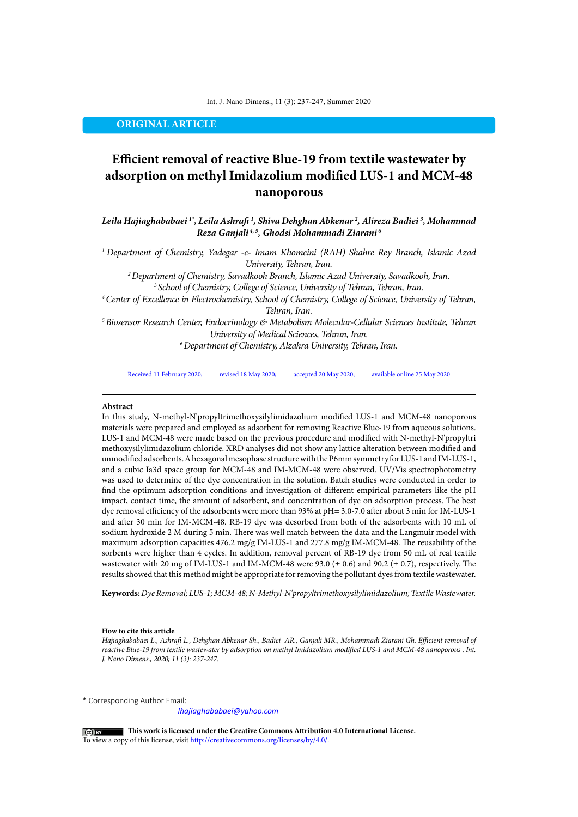Int. J. Nano Dimens., 11 (3): 237-247, Summer 2020

**ORIGINAL ARTICLE**

# **Efficient removal of reactive Blue-19 from textile wastewater by adsorption on methyl Imidazolium modified LUS-1 and MCM-48 nanoporous**

*Leila Hajiaghababaei 1\*, Leila Ashrafi 1 , Shiva Dehghan Abkenar 2 , Alireza Badiei 3 , Mohammad Reza Ganjali 4, 5, Ghodsi Mohammadi Ziarani 6*

*1 Department of Chemistry, Yadegar -e- Imam Khomeini (RAH) Shahre Rey Branch, Islamic Azad University, Tehran, Iran.*

*2 Department of Chemistry, Savadkooh Branch, Islamic Azad University, Savadkooh, Iran. 3 School of Chemistry, College of Science, University of Tehran, Tehran, Iran.*

*4 Center of Excellence in Electrochemistry, School of Chemistry, College of Science, University of Tehran, Tehran, Iran.*

*5 Biosensor Research Center, Endocrinology & Metabolism Molecular-Cellular Sciences Institute, Tehran University of Medical Sciences, Tehran, Iran. 6 Department of Chemistry, Alzahra University, Tehran, Iran.*

Received 11 February 2020; revised 18 May 2020; accepted 20 May 2020; available online 25 May 2020

#### **Abstract**

In this study, N-methyl-N'propyltrimethoxysilylimidazolium modified LUS-1 and MCM-48 nanoporous materials were prepared and employed as adsorbent for removing Reactive Blue-19 from aqueous solutions. LUS-1 and MCM-48 were made based on the previous procedure and modified with N-methyl-N'propyltri methoxysilylimidazolium chloride. XRD analyses did not show any lattice alteration between modified and unmodified adsorbents. A hexagonal mesophase structure with the P6mm symmetry for LUS-1 and IM-LUS-1, and a cubic Ia3d space group for MCM-48 and IM-MCM-48 were observed. UV/Vis spectrophotometry was used to determine of the dye concentration in the solution. Batch studies were conducted in order to find the optimum adsorption conditions and investigation of different empirical parameters like the pH impact, contact time, the amount of adsorbent, and concentration of dye on adsorption process. The best dye removal efficiency of the adsorbents were more than 93% at pH= 3.0-7.0 after about 3 min for IM-LUS-1 and after 30 min for IM-MCM-48. RB-19 dye was desorbed from both of the adsorbents with 10 mL of sodium hydroxide 2 M during 5 min. There was well match between the data and the Langmuir model with maximum adsorption capacities 476.2 mg/g IM-LUS-1 and 277.8 mg/g IM-MCM-48. The reusability of the sorbents were higher than 4 cycles. In addition, removal percent of RB-19 dye from 50 mL of real textile wastewater with 20 mg of IM-LUS-1 and IM-MCM-48 were 93.0 ( $\pm$  0.6) and 90.2 ( $\pm$  0.7), respectively. The results showed that this method might be appropriate for removing the pollutant dyes from textile wastewater.

**Keywords:***Dye Removal; LUS-1; MCM-48; N-Methyl-N'propyltrimethoxysilylimidazolium; Textile Wastewater.*

#### **How to cite this article**

*Hajiaghababaei L., Ashrafi L., Dehghan Abkenar Sh., Badiei AR., Ganjali MR., Mohammadi Ziarani Gh. Efficient removal of*  reactive Blue-19 from textile wastewater by adsorption on methyl Imidazolium modified LUS-1 and MCM-48 nanoporous . Int. *J. Nano Dimens., 2020; 11 (3): 237-247.* 

\* Corresponding Author Email:

*lhajiaghababaei@yahoo.com*

 **This work is licensed under the Creative Commons Attribution 4.0 International License.** To view a copy of this license, visit<http://creativecommons.org/licenses/by/4.0/.>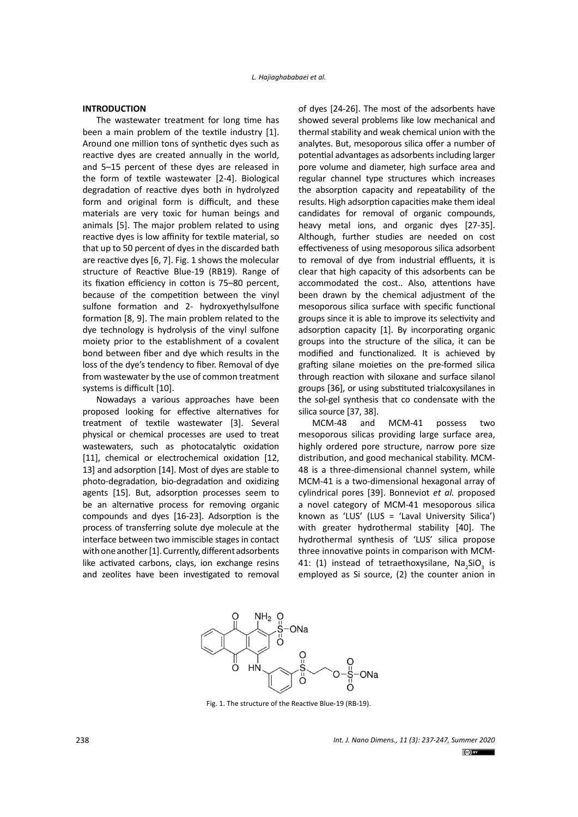# **INTRODUCTION**

The wastewater treatment for long time has been a main problem of the textile industry [1]. Around one million tons of synthetic dyes such as reactive dyes are created annually in the world, and 5–15 percent of these dyes are released in the form of textile wastewater [2-4]. Biological degradation of reactive dyes both in hydrolyzed form and original form is difficult, and these materials are very toxic for human beings and animals [5]. The major problem related to using reactive dyes is low affinity for textile material, so that up to 50 percent of dyes in the discarded bath are reactive dyes [6, 7]. Fig. 1 shows the molecular structure of Reactive Blue-19 (RB19). Range of its fixation efficiency in cotton is 75–80 percent, because of the competition between the vinyl sulfone formation and 2- hydroxyethylsulfone formation [8, 9]. The main problem related to the dye technology is hydrolysis of the vinyl sulfone moiety prior to the establishment of a covalent bond between fiber and dye which results in the loss of the dye's tendency to fiber. Removal of dye from wastewater by the use of common treatment systems is difficult [10].

Nowadays a various approaches have been proposed looking for effective alternatives for treatment of textile wastewater [3]. Several physical or chemical processes are used to treat wastewaters, such as photocatalytic oxidation [11], chemical or electrochemical oxidation [12, 13] and adsorption [14]. Most of dyes are stable to photo-degradation, bio-degradation and oxidizing agents [15]. But, adsorption processes seem to be an alternative process for removing organic compounds and dyes [16-23]. Adsorption is the process of transferring solute dye molecule at the interface between two immiscible stages in contact with one another [1]. Currently, different adsorbents like activated carbons, clays, ion exchange resins and zeolites have been investigated to removal

of dyes [24-26]. The most of the adsorbents have showed several problems like low mechanical and thermal stability and weak chemical union with the analytes. But, mesoporous silica offer a number of potential advantages as adsorbents including larger pore volume and diameter, high surface area and regular channel type structures which increases the absorption capacity and repeatability of the results. High adsorption capacities make them ideal candidates for removal of organic compounds, heavy metal ions, and organic dyes [27-35]. Although, further studies are needed on cost effectiveness of using mesoporous silica adsorbent to removal of dye from industrial effluents, it is clear that high capacity of this adsorbents can be accommodated the cost.. Also, attentions have been drawn by the chemical adjustment of the mesoporous silica surface with specific functional groups since it is able to improve its selectivity and adsorption capacity [1]. By incorporating organic groups into the structure of the silica, it can be modified and functionalized. It is achieved by grafting silane moieties on the pre-formed silica through reaction with siloxane and surface silanol groups [36], or using substituted trialcoxysilanes in the sol-gel synthesis that co condensate with the silica source [37, 38].

MCM-48 and MCM-41 possess two mesoporous silicas providing large surface area, highly ordered pore structure, narrow pore size distribution, and good mechanical stability. MCM-48 is a three-dimensional channel system, while MCM-41 is a two-dimensional hexagonal array of cylindrical pores [39]. Bonneviot *et al.* proposed a novel category of MCM-41 mesoporous silica known as 'LUS' (LUS = 'Laval University Silica') with greater hydrothermal stability [40]. The hydrothermal synthesis of 'LUS' silica propose three innovative points in comparison with MCM-41: (1) instead of tetraethoxysilane,  $\text{Na}_2\text{SiO}_3$  is employed as Si source, (2) the counter anion in



Fig. 1 Fig. 1. The structure of the Reactive Blue-19 (RB-19).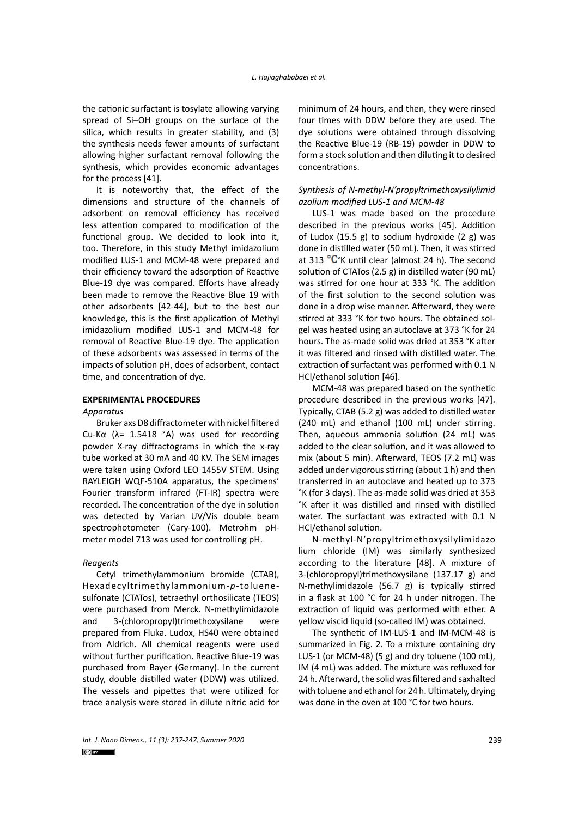the cationic surfactant is tosylate allowing varying spread of Si–OH groups on the surface of the silica, which results in greater stability, and (3) the synthesis needs fewer amounts of surfactant allowing higher surfactant removal following the synthesis, which provides economic advantages for the process [41].

It is noteworthy that, the effect of the dimensions and structure of the channels of adsorbent on removal efficiency has received less attention compared to modification of the functional group. We decided to look into it, too. Therefore, in this study Methyl imidazolium modified LUS-1 and MCM-48 were prepared and their efficiency toward the adsorption of Reactive Blue-19 dye was compared. Efforts have already been made to remove the Reactive Blue 19 with other adsorbents [42-44], but to the best our knowledge, this is the first application of Methyl imidazolium modified LUS-1 and MCM-48 for removal of Reactive Blue-19 dye. The application of these adsorbents was assessed in terms of the impacts of solution pH, does of adsorbent, contact time, and concentration of dye.

# **EXPERIMENTAL PROCEDURES**

*Apparatus*

Bruker axs D8 diffractometer with nickel filtered Cu-Kα ( $λ = 1.5418$  °A) was used for recording powder X-ray diffractograms in which the x-ray tube worked at 30 mA and 40 KV. The SEM images were taken using Oxford LEO 1455V STEM. Using RAYLEIGH WQF-510A apparatus, the specimens' Fourier transform infrared (FT-IR) spectra were recorded**.** The concentration of the dye in solution was detected by Varian UV/Vis double beam spectrophotometer (Cary-100). Metrohm pHmeter model 713 was used for controlling pH.

### *Reagents*

Cetyl trimethylammonium bromide (CTAB), Hexadecyltrimethylammonium-*p*-toluenesulfonate (CTATos), tetraethyl orthosilicate (TEOS) were purchased from Merck. N-methylimidazole and 3-(chloropropyl)trimethoxysilane were prepared from Fluka. Ludox, HS40 were obtained from Aldrich. All chemical reagents were used without further purification. Reactive Blue-19 was purchased from Bayer (Germany). In the current study, double distilled water (DDW) was utilized. The vessels and pipettes that were utilized for trace analysis were stored in dilute nitric acid for minimum of 24 hours, and then, they were rinsed four times with DDW before they are used. The dye solutions were obtained through dissolving the Reactive Blue-19 (RB-19) powder in DDW to form a stock solution and then diluting it to desired concentrations.

# *Synthesis of N-methyl-N'propyltrimethoxysilylimid azolium modified LUS-1 and MCM-48*

LUS-1 was made based on the procedure described in the previous works [45]. Addition of Ludox (15.5 g) to sodium hydroxide (2 g) was done in distilled water (50 mL). Then, it was stirred at 313  $\mathrm{C}^{\circ}$ K until clear (almost 24 h). The second solution of CTATos (2.5 g) in distilled water (90 mL) was stirred for one hour at 333 °K. The addition of the first solution to the second solution was done in a drop wise manner. Afterward, they were stirred at 333 °K for two hours. The obtained solgel was heated using an autoclave at 373 °K for 24 hours. The as-made solid was dried at 353 °K after it was filtered and rinsed with distilled water. The extraction of surfactant was performed with 0.1 N HCl/ethanol solution [46].

MCM-48 was prepared based on the synthetic procedure described in the previous works [47]. Typically, CTAB (5.2 g) was added to distilled water (240 mL) and ethanol (100 mL) under stirring. Then, aqueous ammonia solution (24 mL) was added to the clear solution, and it was allowed to mix (about 5 min). Afterward, TEOS (7.2 mL) was added under vigorous stirring (about 1 h) and then transferred in an autoclave and heated up to 373 °K (for 3 days). The as-made solid was dried at 353 °K after it was distilled and rinsed with distilled water. The surfactant was extracted with 0.1 N HCl/ethanol solution.

N-methyl-N'propyltrimethoxysilylimidazo lium chloride (IM) was similarly synthesized according to the literature [48]. A mixture of 3-(chloropropyl)trimethoxysilane (137.17 g) and N-methylimidazole (56.7 g) is typically stirred in a flask at 100 °C for 24 h under nitrogen. The extraction of liquid was performed with ether. A yellow viscid liquid (so-called IM) was obtained.

The synthetic of IM-LUS-1 and IM-MCM-48 is summarized in Fig. 2. To a mixture containing dry LUS-1 (or MCM-48) (5 g) and dry toluene (100 mL), IM (4 mL) was added. The mixture was refluxed for 24 h. Afterward, the solid was filtered and saxhalted with toluene and ethanol for 24 h. Ultimately, drying was done in the oven at 100 °C for two hours.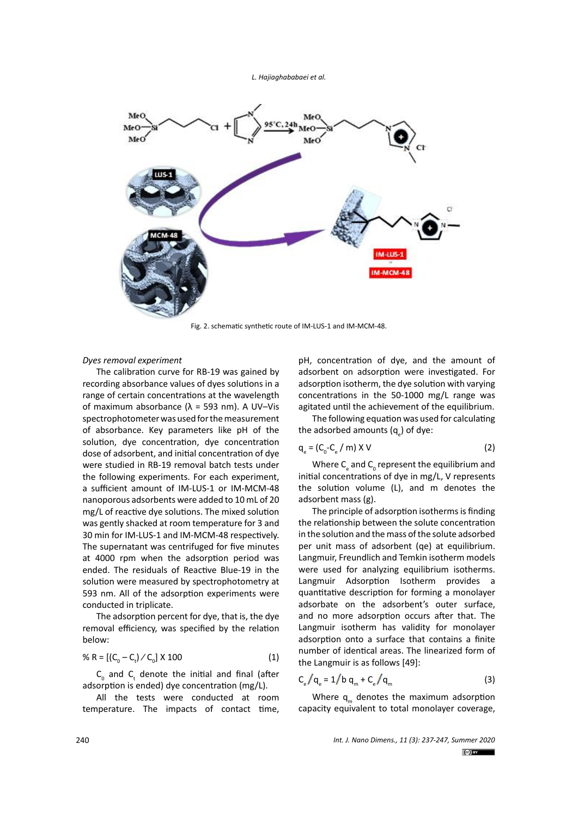

Fig. 2. schematic synthetic route of IM-LUS-1 and IM-MCM-48.

# *Dyes removal experiment*

The calibration curve for RB-19 was gained by recording absorbance values of dyes solutions in a range of certain concentrations at the wavelength of maximum absorbance ( $λ = 593$  nm). A UV-Vis spectrophotometer was used for the measurement of absorbance. Key parameters like pH of the solution, dye concentration, dye concentration dose of adsorbent, and initial concentration of dye were studied in RB-19 removal batch tests under the following experiments. For each experiment, a sufficient amount of IM-LUS-1 or IM-MCM-48 nanoporous adsorbents were added to 10 mL of 20 mg/L of reactive dye solutions. The mixed solution was gently shacked at room temperature for 3 and 30 min for IM-LUS-1 and IM-MCM-48 respectively. The supernatant was centrifuged for five minutes at 4000 rpm when the adsorption period was ended. The residuals of Reactive Blue-19 in the solution were measured by spectrophotometry at 593 nm. All of the adsorption experiments were conducted in triplicate.

The adsorption percent for dye, that is, the dye removal efficiency, was specified by the relation below:

% R = 
$$
[(C_0 - C_t) / C_0] \times 100
$$
 (1)

 $\mathsf{C}_{_{\mathrm{0}}}$  and  $\mathsf{C}_{_{\mathrm{t}}}$  denote the initial and final (after adsorption is ended) dye concentration (mg/L).

All the tests were conducted at room temperature. The impacts of contact time, pH, concentration of dye, and the amount of adsorbent on adsorption were investigated. For adsorption isotherm, the dye solution with varying concentrations in the 50-1000 mg/L range was agitated until the achievement of the equilibrium.

The following equation was used for calculating the adsorbed amounts (q<sub>e</sub>) of dye:

$$
q_e = (C_0 - C_e / m) \times V
$$
 (2)

Where  $C_{\rm e}$  and  $C_{\rm o}$  represent the equilibrium and initial concentrations of dye in mg/L, V represents the solution volume (L), and m denotes the adsorbent mass (g).

The principle of adsorption isotherms is finding the relationship between the solute concentration in the solution and the mass of the solute adsorbed per unit mass of adsorbent (qe) at equilibrium. Langmuir, Freundlich and Temkin isotherm models were used for analyzing equilibrium isotherms. Langmuir Adsorption Isotherm provides a quantitative description for forming a monolayer adsorbate on the adsorbent's outer surface, and no more adsorption occurs after that. The Langmuir isotherm has validity for monolayer adsorption onto a surface that contains a finite number of identical areas. The linearized form of the Langmuir is as follows [49]:

$$
C_e / q_e = 1/b q_m + C_e / q_m
$$
 (3)

Where  $q_m$  denotes the maximum adsorption capacity equivalent to total monolayer coverage,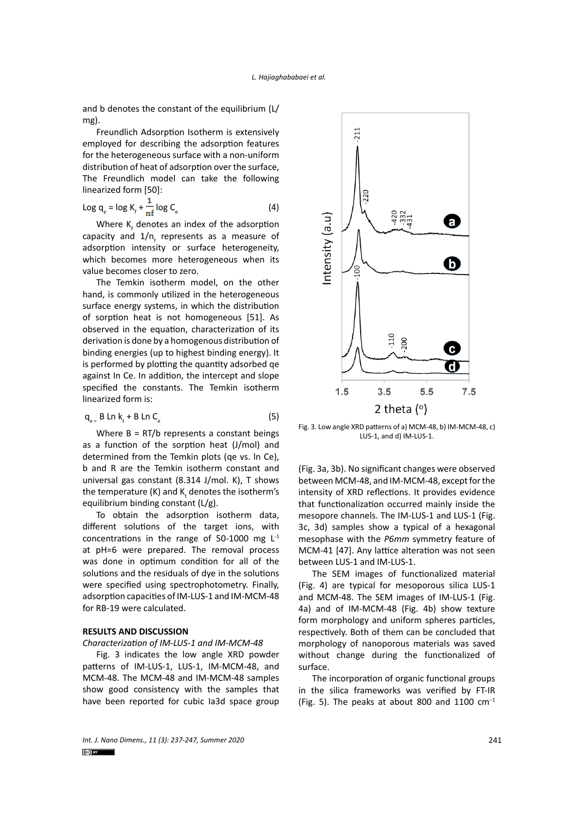and b denotes the constant of the equilibrium (L/ mg).

Freundlich Adsorption Isotherm is extensively employed for describing the adsorption features for the heterogeneous surface with a non-uniform distribution of heat of adsorption over the surface, The Freundlich model can take the following linearized form [50]:

$$
\text{Log } q_e = \log K_f + \frac{1}{n f} \log C_e \tag{4}
$$

Where  $K_f$  denotes an index of the adsorption capacity and  $1/n_f$  represents as a measure of adsorption intensity or surface heterogeneity, which becomes more heterogeneous when its value becomes closer to zero.

The Temkin isotherm model, on the other hand, is commonly utilized in the heterogeneous surface energy systems, in which the distribution of sorption heat is not homogeneous [51]. As observed in the equation, characterization of its derivation is done by a homogenous distribution of binding energies (up to highest binding energy). It is performed by plotting the quantity adsorbed qe against In Ce. In addition, the intercept and slope specified the constants. The Temkin isotherm linearized form is:

$$
q_{e} = B \text{ Ln } k_t + B \text{ Ln } C_e \tag{5}
$$

Where  $B = RT/b$  represents a constant beings as a function of the sorption heat (J/mol) and determined from the Temkin plots (qe vs. ln Ce), b and R are the Temkin isotherm constant and universal gas constant (8.314 J/mol. K), T shows the temperature (K) and  $K_{\epsilon}$  denotes the isotherm's equilibrium binding constant (L/g).

To obtain the adsorption isotherm data, different solutions of the target ions, with concentrations in the range of 50-1000 mg L-1 at pH=6 were prepared. The removal process was done in optimum condition for all of the solutions and the residuals of dye in the solutions were specified using spectrophotometry. Finally, adsorption capacities of IM-LUS-1 and IM-MCM-48 for RB-19 were calculated.

### **RESULTS AND DISCUSSION**

*Characterization of IM-LUS-1 and IM-MCM-48*

Fig. 3 indicates the low angle XRD powder patterns of IM-LUS-1, LUS-1, IM-MCM-48, and MCM-48. The MCM-48 and IM-MCM-48 samples show good consistency with the samples that have been reported for cubic Ia3d space group



Fig. 3. Low angle XRD patterns of a) MCM-48, b) IM-MCM-48, c) LUS-1, and d) IM-LUS-1.

(Fig. 3a, 3b). No significant changes were observed between MCM-48, and IM-MCM-48, except for the intensity of XRD reflections. It provides evidence that functionalization occurred mainly inside the mesopore channels. The IM-LUS-1 and LUS-1 (Fig. 3c, 3d) samples show a typical of a hexagonal mesophase with the *P6mm* symmetry feature of MCM-41 [47]. Any lattice alteration was not seen between LUS-1 and IM-LUS-1.

The SEM images of functionalized material (Fig. 4) are typical for mesoporous silica LUS-1 and MCM-48. The SEM images of IM-LUS-1 (Fig. 4a) and of IM-MCM-48 (Fig. 4b) show texture form morphology and uniform spheres particles, respectively. Both of them can be concluded that morphology of nanoporous materials was saved without change during the functionalized of surface.

The incorporation of organic functional groups in the silica frameworks was verified by FT-IR (Fig. 5). The peaks at about 800 and 1100 cm−1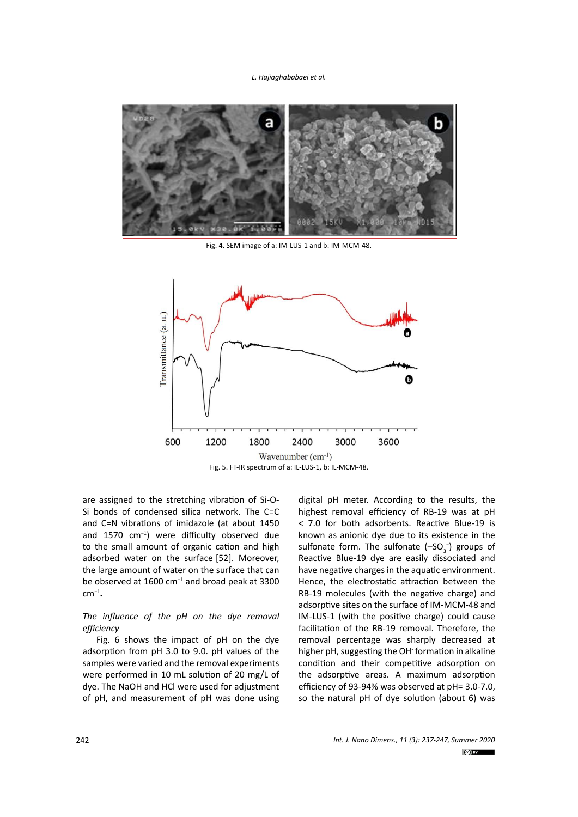

Fig. 4. SEM image of a: IM-LUS-1 and b: IM-MCM-48.



are assigned to the stretching vibration of Si-O-Si bonds of condensed silica network. The C=C and C=N vibrations of imidazole (at about 1450 and 1570 cm−1) were difficulty observed due to the small amount of organic cation and high adsorbed water on the surface [52]. Moreover, the large amount of water on the surface that can be observed at 1600 cm−1 and broad peak at 3300 cm−1**.**

# *The influence of the pH on the dye removal efficiency*

Fig. 6 shows the impact of pH on the dye adsorption from pH 3.0 to 9.0. pH values of the samples were varied and the removal experiments were performed in 10 mL solution of 20 mg/L of dye. The NaOH and HCl were used for adjustment of pH, and measurement of pH was done using

digital pH meter. According to the results, the highest removal efficiency of RB-19 was at pH < 7.0 for both adsorbents. Reactive Blue-19 is known as anionic dye due to its existence in the sulfonate form. The sulfonate  $(-SO_3^-)$  groups of Reactive Blue-19 dye are easily dissociated and have negative charges in the aquatic environment. Hence, the electrostatic attraction between the RB-19 molecules (with the negative charge) and adsorptive sites on the surface of IM-MCM-48 and IM-LUS-1 (with the positive charge) could cause facilitation of the RB-19 removal. Therefore, the removal percentage was sharply decreased at higher pH, suggesting the OH- formation in alkaline condition and their competitive adsorption on the adsorptive areas. A maximum adsorption efficiency of 93-94% was observed at pH= 3.0-7.0, so the natural pH of dye solution (about 6) was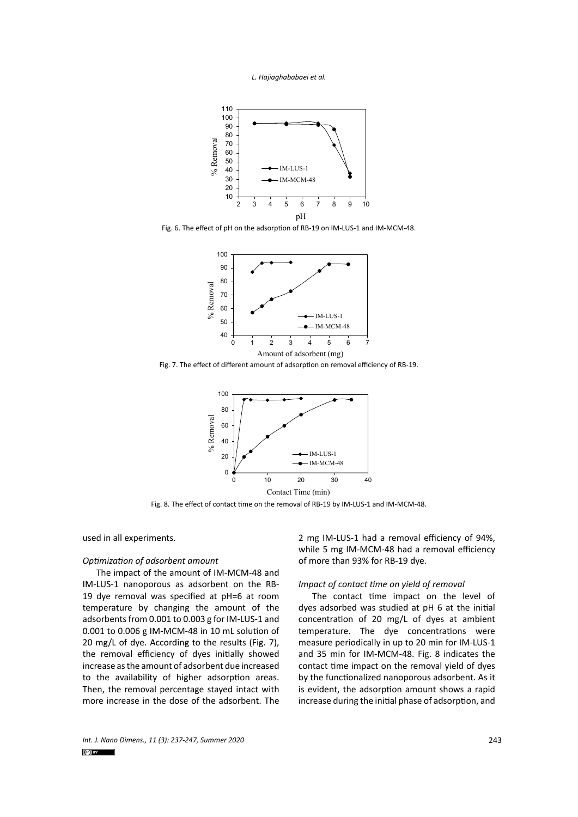



Fig. 6. The effect of pH on the adsorption of RB-19 on IM-LUS-1 and IM-MCM-48.



Fig. 7. The effect of different amount of adsorption on removal efficiency of RB-19.



Fig. 8 Fig. 8. The effect of contact time on the removal of RB-19 by IM-LUS-1 and IM-MCM-48.

used in all experiments.

### *Optimization of adsorbent amount*

The impact of the amount of IM-MCM-48 and IM-LUS-1 nanoporous as adsorbent on the RB-19 dye removal was specified at pH=6 at room temperature by changing the amount of the adsorbents from 0.001 to 0.003 g for IM-LUS-1 and 0.001 to 0.006 g IM-MCM-48 in 10 mL solution of 20 mg/L of dye. According to the results (Fig. 7), the removal efficiency of dyes initially showed increase as the amount of adsorbent due increased to the availability of higher adsorption areas. Then, the removal percentage stayed intact with more increase in the dose of the adsorbent. The

2 mg IM-LUS-1 had a removal efficiency of 94%, while 5 mg IM-MCM-48 had a removal efficiency of more than 93% for RB-19 dye.

# *Impact of contact time on yield of removal*

The contact time impact on the level of dyes adsorbed was studied at pH 6 at the initial concentration of 20 mg/L of dyes at ambient temperature. The dye concentrations were measure periodically in up to 20 min for IM-LUS-1 and 35 min for IM-MCM-48. Fig. 8 indicates the contact time impact on the removal yield of dyes by the functionalized nanoporous adsorbent. As it is evident, the adsorption amount shows a rapid increase during the initial phase of adsorption, and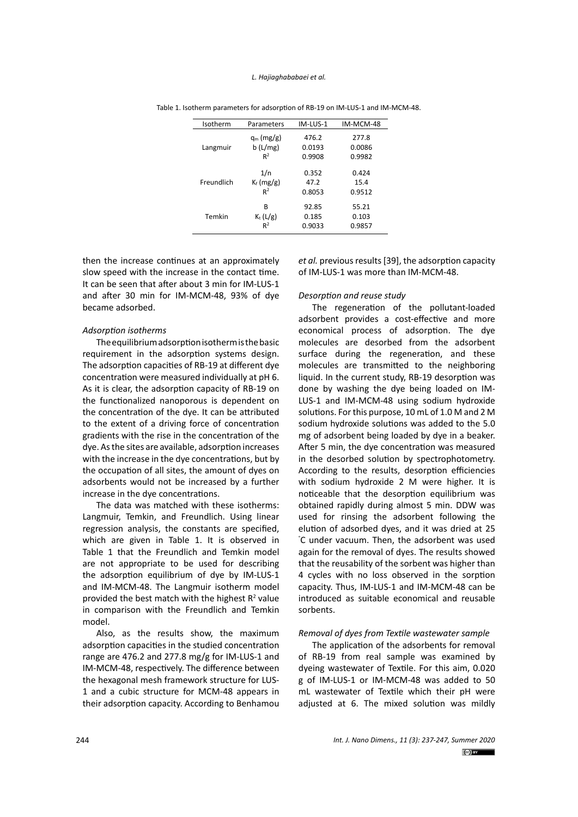| Isotherm   | Parameters   | IM-LUS-1 | IM-MCM-48 |
|------------|--------------|----------|-----------|
| Langmuir   | $q_m$ (mg/g) | 476.2    | 277.8     |
|            | b(L/mg)      | 0.0193   | 0.0086    |
|            | $R^2$        | 0.9908   | 0.9982    |
| Freundlich | 1/n          | 0.352    | 0.424     |
|            | $K_f$ (mg/g) | 47.2     | 15.4      |
|            | $R^2$        | 0.8053   | 0.9512    |
| Temkin     | в            | 92.85    | 55.21     |
|            | $K_t(L/g)$   | 0.185    | 0.103     |
|            | $R^2$        | 0.9033   | 0.9857    |

Table 1. Isotherm parameters for adsorption of RB-19 on IM-LUS-1 and IM-MCM-48. Table 1. Isotherm parameters for adsorption of RB-19 on IM-LUS-1 and IM-MCM-48.

then the increase continues at an approximately slow speed with the increase in the contact time. It can be seen that after about 3 min for IM-LUS-1 and after 30 min for IM-MCM-48, 93% of dye became adsorbed.

### *Adsorption isotherms*

The equilibrium adsorption isotherm is the basic requirement in the adsorption systems design. The adsorption capacities of RB-19 at different dye concentration were measured individually at pH 6. As it is clear, the adsorption capacity of RB-19 on the functionalized nanoporous is dependent on the concentration of the dye. It can be attributed to the extent of a driving force of concentration gradients with the rise in the concentration of the dye. As the sites are available, adsorption increases with the increase in the dye concentrations, but by the occupation of all sites, the amount of dyes on adsorbents would not be increased by a further increase in the dye concentrations.

The data was matched with these isotherms: Langmuir, Temkin, and Freundlich. Using linear regression analysis, the constants are specified, which are given in Table 1. It is observed in Table 1 that the Freundlich and Temkin model are not appropriate to be used for describing the adsorption equilibrium of dye by IM-LUS-1 and IM-MCM-48. The Langmuir isotherm model provided the best match with the highest  $R^2$  value in comparison with the Freundlich and Temkin model.

Also, as the results show, the maximum adsorption capacities in the studied concentration range are 476.2 and 277.8 mg/g for IM-LUS-1 and IM-MCM-48, respectively. The difference between the hexagonal mesh framework structure for LUS-1 and a cubic structure for MCM-48 appears in their adsorption capacity. According to Benhamou

*et al.* previous results [39], the adsorption capacity of IM-LUS-1 was more than IM-MCM-48.

### *Desorption and reuse study*

The regeneration of the pollutant-loaded adsorbent provides a cost-effective and more economical process of adsorption. The dye molecules are desorbed from the adsorbent surface during the regeneration, and these molecules are transmitted to the neighboring liquid. In the current study, RB-19 desorption was done by washing the dye being loaded on IM-LUS-1 and IM-MCM-48 using sodium hydroxide solutions. For this purpose, 10 mL of 1.0 M and 2 M sodium hydroxide solutions was added to the 5.0 mg of adsorbent being loaded by dye in a beaker. After 5 min, the dye concentration was measured in the desorbed solution by spectrophotometry. According to the results, desorption efficiencies with sodium hydroxide 2 M were higher. It is noticeable that the desorption equilibrium was obtained rapidly during almost 5 min. DDW was used for rinsing the adsorbent following the elution of adsorbed dyes, and it was dried at 25 ° C under vacuum. Then, the adsorbent was used again for the removal of dyes. The results showed that the reusability of the sorbent was higher than 4 cycles with no loss observed in the sorption capacity. Thus, IM-LUS-1 and IM-MCM-48 can be introduced as suitable economical and reusable sorbents.

### *Removal of dyes from Textile wastewater sample*

The application of the adsorbents for removal of RB-19 from real sample was examined by dyeing wastewater of Textile. For this aim, 0.020 g of IM-LUS-1 or IM-MCM-48 was added to 50 mL wastewater of Textile which their pH were adjusted at 6. The mixed solution was mildly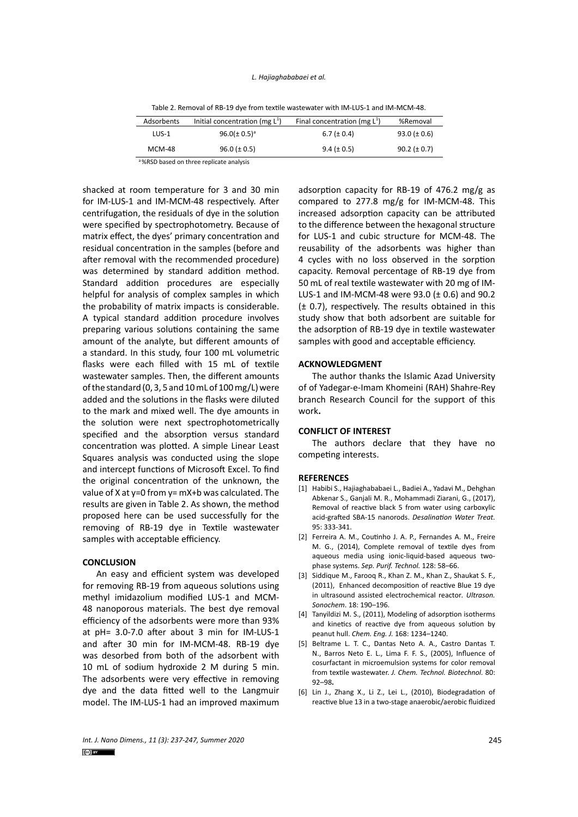| Adsorbents    | Initial concentration (mg $L^1$ ) | Final concentration (mg $L^1$ ) | %Removal         |
|---------------|-----------------------------------|---------------------------------|------------------|
| $LUS-1$       | $96.0 (\pm 0.5)^{a}$              | 6.7 ( $\pm$ 0.4)                | $93.0 (\pm 0.6)$ |
| <b>MCM-48</b> | $96.0 (\pm 0.5)$                  | $9.4 (\pm 0.5)$                 | $90.2 (\pm 0.7)$ |

shacked at room temperature for 3 and 30 min for IM-LUS-1 and IM-MCM-48 respectively. After centrifugation, the residuals of dye in the solution were specified by spectrophotometry. Because of matrix effect, the dyes' primary concentration and residual concentration in the samples (before and after removal with the recommended procedure) was determined by standard addition method. Standard addition procedures are especially helpful for analysis of complex samples in which the probability of matrix impacts is considerable. A typical standard addition procedure involves preparing various solutions containing the same amount of the analyte, but different amounts of a standard. In this study, four 100 mL volumetric flasks were each filled with 15 mL of textile wastewater samples. Then, the different amounts of the standard (0, 3, 5 and 10 mL of 100 mg/L) were added and the solutions in the flasks were diluted to the mark and mixed well. The dye amounts in the solution were next spectrophotometrically specified and the absorption versus standard concentration was plotted. A simple Linear Least Squares analysis was conducted using the slope and intercept functions of Microsoft Excel. To find the original concentration of the unknown, the value of X at y=0 from y=  $mX+b$  was calculated. The results are given in Table 2. As shown, the method proposed here can be used successfully for the removing of RB-19 dye in Textile wastewater samples with acceptable efficiency.

#### **CONCLUSION**

An easy and efficient system was developed for removing RB-19 from aqueous solutions using methyl imidazolium modified LUS-1 and MCM-48 nanoporous materials. The best dye removal efficiency of the adsorbents were more than 93% at pH= 3.0-7.0 after about 3 min for IM-LUS-1 and after 30 min for IM-MCM-48. RB-19 dye was desorbed from both of the adsorbent with 10 mL of sodium hydroxide 2 M during 5 min. The adsorbents were very effective in removing dye and the data fitted well to the Langmuir model. The IM-LUS-1 had an improved maximum

adsorption capacity for RB-19 of 476.2 mg/g as compared to 277.8 mg/g for IM-MCM-48. This increased adsorption capacity can be attributed to the difference between the hexagonal structure for LUS-1 and cubic structure for MCM-48. The reusability of the adsorbents was higher than 4 cycles with no loss observed in the sorption capacity. Removal percentage of RB-19 dye from 50 mL of real textile wastewater with 20 mg of IM-LUS-1 and IM-MCM-48 were 93.0 (± 0.6) and 90.2 (± 0.7), respectively. The results obtained in this study show that both adsorbent are suitable for the adsorption of RB-19 dye in textile wastewater samples with good and acceptable efficiency.

### **ACKNOWLEDGMENT**

The author thanks the Islamic Azad University of of Yadegar-e-Imam Khomeini (RAH) Shahre-Rey branch Research Council for the support of this work**.**

# **CONFLICT OF INTEREST**

The authors declare that they have no competing interests.

#### **REFERENCES**

- [1] Habibi S., Hajiaghababaei L., Badiei A., Yadavi M., Dehghan Abkenar S., Ganjali M. R., Mohammadi Ziarani, G., (2017), Removal of reactive black 5 from water using carboxylic acid-grafted SBA-15 nanorods. *Desalination Water Treat.* 95: 333-341.
- [2] Ferreira A. M., Coutinho J. A. P., Fernandes A. M., Freire M. G., (2014), Complete removal of textile dyes from aqueous media using ionic-liquid-based aqueous twophase systems. *Sep. Purif. Technol.* 128: 58–66.
- [3] Siddique M., Farooq R., Khan Z. M., Khan Z., Shaukat S. F., (2011), Enhanced decomposition of reactive Blue 19 dye in ultrasound assisted electrochemical reactor*. Ultrason. Sonochem*. 18: 190–196.
- [4] Tanyildizi M. S., (2011), Modeling of adsorption isotherms and kinetics of reactive dye from aqueous solution by peanut hull. *Chem. Eng. J.* 168: 1234–1240.
- [5] Beltrame L. T. C., Dantas Neto A. A., Castro Dantas T. N., Barros Neto E. L., Lima F. F. S., (2005), Influence of cosurfactant in microemulsion systems for color removal from textile wastewater. *J. Chem. Technol. Biotechnol.* 80: 92–98**.**
- [6] Lin J., Zhang X., Li Z., Lei L., (2010), Biodegradation of reactive blue 13 in a two-stage anaerobic/aerobic fluidized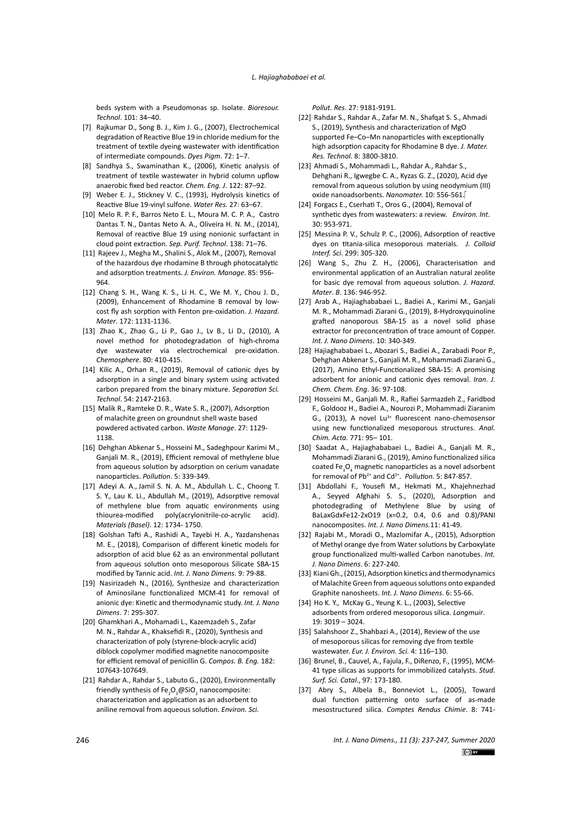beds system with a Pseudomonas sp. Isolate. *Bioresour. Technol*. 101: 34–40.

- [7] Rajkumar D., Song B. J., Kim J. G., (2007), Electrochemical degradation of Reactive Blue 19 in chloride medium for the treatment of textile dyeing wastewater with identification of intermediate compounds. *Dyes Pigm*. 72: 1–7.
- [8] Sandhya S., Swaminathan K., (2006), Kinetic analysis of treatment of textile wastewater in hybrid column upflow anaerobic fixed bed reactor. *Chem. Eng. J*. 122: 87–92.
- [9] Weber E. J., Stickney V. C., (1993), Hydrolysis kinetics of Reactive Blue 19-vinyl sulfone. *Water Res.* 27: 63–67.
- [10] Melo R. P. F., Barros Neto E. L., Moura M. C. P. A., Castro Dantas T. N., Dantas Neto A. A., Oliveira H. N. M., (2014), Removal of reactive Blue 19 using nonionic surfactant in cloud point extraction. *Sep. Purif. Technol*. 138: 71–76.
- [11] Rajeev J., Megha M., Shalini S., Alok M., (2007), Removal of the hazardous dye rhodamine B through photocatalytic and adsorption treatments. *J. Environ. Manage*. 85: 956- 964.
- [12] Chang S. H., Wang K. S., Li H. C., We M. Y., Chou J. D., (2009), Enhancement of Rhodamine B removal by lowcost fly ash sorption with Fenton pre-oxidation. *J. Hazard. Mater*. 172: 1131-1136.
- [13] Zhao K., Zhao G., Li P., Gao J., Lv B., Li D., (2010), A novel method for photodegradation of high-chroma dye wastewater via electrochemical pre-oxidation. *Chemosphere*. 80: 410-415.
- [14] Kilic A., Orhan R., (2019), Removal of cationic dyes by adsorption in a single and binary system using activated carbon prepared from the binary mixture. *Separation Sci. Technol*. 54: 2147-2163.
- [15] Malik R., Ramteke D. R., Wate S. R., (2007), Adsorption of malachite green on groundnut shell waste based powdered activated carbon. *Waste Manage*. 27: 1129- 1138.
- [16] Dehghan Abkenar S., Hosseini M., Sadeghpour Karimi M., Ganjali M. R., (2019), Efficient removal of methylene blue from aqueous solution by adsorption on cerium vanadate nanoparticles. *Pollution*. 5: 339-349.
- [17] Adeyi A. A., Jamil S. N. A. M., Abdullah L. C., Choong T. S. Y., Lau K. Li., Abdullah M., (2019), Adsorptive removal of methylene blue from aquatic environments using thiourea-modified poly(acrylonitrile-*co*-acrylic acid). *Materials (Basel)*. 12: 1734- 1750.
- [18] Golshan Tafti A., Rashidi A., Tayebi H. A., Yazdanshenas M. E., (2018), Comparison of different kinetic models for adsorption of acid blue 62 as an environmental pollutant from aqueous solution onto mesoporous Silicate SBA-15 modified by Tannic acid. *Int. J. Nano Dimens*. 9: 79-88.
- [19] Nasirizadeh N., (2016), Synthesize and characterization of Aminosilane functionalized MCM-41 for removal of anionic dye: Kinetic and thermodynamic study. *Int. J. Nano Dimens*. 7: 295-307.
- [20] Ghamkhari A., Mohamadi L., Kazemzadeh S., Zafar M. N., Rahdar A., Khaksefidi R., (2020), Synthesis and characterization of poly (styrene-block-acrylic acid) diblock copolymer modified magnetite nanocomposite for efficient removal of penicillin G. *Compos. B. Eng.* 182: 107643-107649.
- [21] Rahdar A., Rahdar S., Labuto G., (2020), Environmentally friendly synthesis of Fe<sub>2</sub>O<sub>3</sub>@SiO<sub>2</sub> nanocomposite: characterization and application as an adsorbent to aniline removal from aqueous solution. *Environ. Sci.*

*Pollut. Res*. 27: 9181-9191.

- [22] Rahdar S., Rahdar A., Zafar M. N., Shafqat S. S., Ahmadi S., (2019), Synthesis and characterization of MgO supported Fe–Co–Mn nanoparticles with exceptionally high adsorption capacity for Rhodamine B dye. *J. Mater. Res. Technol.* 8: 3800-3810.
- [23] Ahmadi S., Mohammadi L., Rahdar A., Rahdar S., Dehghani R., Igwegbe C. A., Kyzas G. Z., (2020), Acid dye removal from aqueous solution by using neodymium (III) oxide nanoadsorbents. *Nanomater.* 10: 556-561.
- [24] Forgacs E., Cserhati T., Oros G., (2004), Removal of synthetic dyes from wastewaters: a review. *Environ. Int*. 30: 953-971.
- [25] Messina P. V., Schulz P. C., (2006), Adsorption of reactive dyes on titania-silica mesoporous materials. *J. Colloid Interf. Sci*. 299: 305-320.
- [26] Wang S., Zhu Z. H., (2006), Characterisation and environmental application of an Australian natural zeolite for basic dye removal from aqueous solution. *J. Hazard. Mater*. *B*. 136: 946-952.
- [27] Arab A., Hajiaghababaei L., Badiei A., Karimi M., Ganjali M. R., Mohammadi Ziarani G., (2019), 8-Hydroxyquinoline grafted nanoporous SBA-15 as a novel solid phase extractor for preconcentration of trace amount of Copper. *Int. J. Nano Dimens*. 10: 340-349.
- [28] Hajiaghababaei L., Abozari S., Badiei A., Zarabadi Poor P., Dehghan Abkenar S., Ganjali M. R., Mohammadi Ziarani G., (2017), Amino Ethyl-Functionalized SBA-15: A promising adsorbent for anionic and cationic dyes removal. *Iran. J. Chem. Chem. Eng*. 36: 97-108.
- [29] Hosseini M., Ganjali M. R., Rafiei Sarmazdeh Z., Faridbod F., Goldooz H., Badiei A., Nourozi P., Mohammadi Ziaranim G., (2013), A novel Lu<sup>3+</sup> fluorescent nano-chemosensor using new functionalized mesoporous structures. *Anal. Chim. Acta.* 771: 95– 101.
- [30] Saadat A., Hajiaghababaei L., Badiei A., Ganjali M. R., Mohammadi Ziarani G., (2019), Amino functionalized silica coated Fe<sub>3</sub>O<sub>4</sub> magnetic nanoparticles as a novel adsorbent for removal of Pb<sup>2+</sup> and Cd<sup>2+</sup>. *Pollution*. 5: 847-857.
- [31] Abdollahi F., Yousefi M., Hekmati M., Khajehnezhad A., Seyyed Afghahi S. S., (2020), Adsorption and photodegrading of Methylene Blue by using of BaLaxGdxFe12-2xO19 (x=0.2, 0.4, 0.6 and 0.8)/PANI nanocomposites. *Int. J. Nano Dimens.*11: 41-49.
- [32] Rajabi M., Moradi O., Mazlomifar A., (2015), Adsorption of Methyl orange dye from Water solutions by Carboxylate group functionalized multi-walled Carbon nanotubes. *Int. J. Nano Dimens*. 6: 227-240.
- [33] Kiani Gh., (2015), Adsorption kinetics and thermodynamics of Malachite Green from aqueous solutions onto expanded Graphite nanosheets. *Int. J. Nano Dimens*. 6: 55-66.
- [34] Ho K. Y., McKay G., Yeung K. L., (2003), Selective adsorbents from ordered mesoporous silica. *Langmuir*. 19: 3019 – 3024.
- [35] Salahshoor Z., Shahbazi A., (2014), Review of the use of mesoporous silicas for removing dye from textile wastewater. *Eur. J. Environ. Sci.* 4: 116–130.
- [36] Brunel, B., Cauvel, A., Fajula, F., DiRenzo, F., (1995), MCM-41 type silicas as supports for immobilized catalysts. *Stud. Surf. Sci. Catal*., 97: 173-180.
- [37] Abry S., Albela B., Bonneviot L., (2005), Toward dual function patterning onto surface of as-made mesostructured silica. *Comptes Rendus Chimie*. 8: 741-

*Int. J. Nano Dimens., 11 (3): 237-247, Summer 2020*  $(c)$  BY